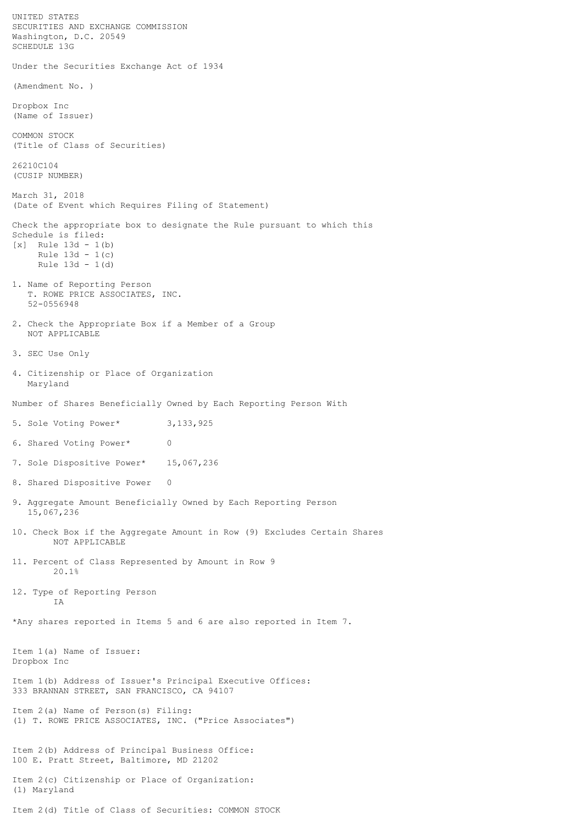UNITED STATES SECURITIES AND EXCHANGE COMMISSION Washington, D.C. 20549 SCHEDULE 13G Under the Securities Exchange Act of 1934 (Amendment No. ) Dropbox Inc (Name of Issuer) COMMON STOCK (Title of Class of Securities) 26210C104 (CUSIP NUMBER) March 31, 2018 (Date of Event which Requires Filing of Statement) Check the appropriate box to designate the Rule pursuant to which this Schedule is filed:  $[x]$  Rule 13d - 1(b) Rule  $13d - 1(c)$  Rule 13d - 1(d) 1. Name of Reporting Person T. ROWE PRICE ASSOCIATES, INC. 52-0556948 2. Check the Appropriate Box if a Member of a Group NOT APPLICABLE 3. SEC Use Only 4. Citizenship or Place of Organization Maryland Number of Shares Beneficially Owned by Each Reporting Person With 5. Sole Voting Power\* 3,133,925 6. Shared Voting Power\* 0 7. Sole Dispositive Power\* 15,067,236 8. Shared Dispositive Power 0 9. Aggregate Amount Beneficially Owned by Each Reporting Person 15,067,236 10. Check Box if the Aggregate Amount in Row (9) Excludes Certain Shares NOT APPLICABLE 11. Percent of Class Represented by Amount in Row 9 20.1% 12. Type of Reporting Person IA \*Any shares reported in Items 5 and 6 are also reported in Item 7. Item 1(a) Name of Issuer: Dropbox Inc Item 1(b) Address of Issuer's Principal Executive Offices: 333 BRANNAN STREET, SAN FRANCISCO, CA 94107 Item 2(a) Name of Person(s) Filing: (1) T. ROWE PRICE ASSOCIATES, INC. ("Price Associates") Item 2(b) Address of Principal Business Office: 100 E. Pratt Street, Baltimore, MD 21202 Item 2(c) Citizenship or Place of Organization: (1) Maryland

Item 2(d) Title of Class of Securities: COMMON STOCK